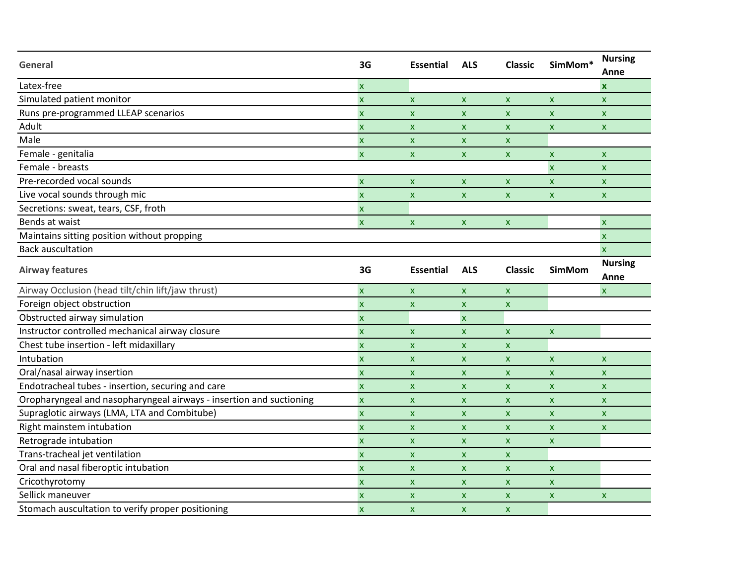| General                                                             | 3G                        | <b>Essential</b>          | <b>ALS</b>                | <b>Classic</b>            | SimMom*                   | <b>Nursing</b><br>Anne |
|---------------------------------------------------------------------|---------------------------|---------------------------|---------------------------|---------------------------|---------------------------|------------------------|
| Latex-free                                                          | X                         |                           |                           |                           |                           | $\mathbf x$            |
| Simulated patient monitor                                           | $\boldsymbol{\mathsf{x}}$ | $\boldsymbol{\mathsf{x}}$ | $\mathsf{x}$              | $\mathsf{x}$              | $\boldsymbol{\mathsf{x}}$ | $\mathsf{x}$           |
| Runs pre-programmed LLEAP scenarios                                 | $\boldsymbol{\mathsf{x}}$ | $\boldsymbol{\mathsf{x}}$ | X                         | $\boldsymbol{\mathsf{x}}$ | X                         | X                      |
| Adult                                                               | $\boldsymbol{\mathsf{x}}$ | $\boldsymbol{\mathsf{x}}$ | $\boldsymbol{\mathsf{x}}$ | $\boldsymbol{\mathsf{x}}$ | $\boldsymbol{\mathsf{x}}$ | X                      |
| Male                                                                | $\boldsymbol{\mathsf{x}}$ | X                         | $\boldsymbol{\mathsf{x}}$ | $\boldsymbol{\mathsf{x}}$ |                           |                        |
| Female - genitalia                                                  | $\mathsf{x}$              | $\boldsymbol{\mathsf{x}}$ | $\mathsf{x}$              | $\boldsymbol{\mathsf{x}}$ | $\boldsymbol{\mathsf{x}}$ | X                      |
| Female - breasts                                                    |                           |                           |                           |                           | $\boldsymbol{\mathsf{x}}$ | X                      |
| Pre-recorded vocal sounds                                           | $\boldsymbol{\mathsf{x}}$ | $\boldsymbol{\mathsf{x}}$ | $\boldsymbol{\mathsf{x}}$ | $\boldsymbol{\mathsf{x}}$ | $\boldsymbol{\mathsf{x}}$ | X                      |
| Live vocal sounds through mic                                       | $\overline{\mathsf{x}}$   | $\boldsymbol{\mathsf{x}}$ | $\pmb{\mathsf{X}}$        | $\boldsymbol{\mathsf{x}}$ | $\pmb{\times}$            | $\mathsf{x}$           |
| Secretions: sweat, tears, CSF, froth                                | $\boldsymbol{\mathsf{x}}$ |                           |                           |                           |                           |                        |
| Bends at waist                                                      | $\boldsymbol{\mathsf{x}}$ | $\boldsymbol{\mathsf{x}}$ | $\boldsymbol{\mathsf{x}}$ | $\boldsymbol{\mathsf{x}}$ |                           | $\mathsf{x}$           |
| Maintains sitting position without propping                         |                           |                           |                           |                           |                           | $\mathsf{x}$           |
| <b>Back auscultation</b>                                            |                           |                           |                           |                           |                           | $\mathsf{x}$           |
| <b>Airway features</b>                                              | 3G                        | <b>Essential</b>          | <b>ALS</b>                | <b>Classic</b>            | <b>SimMom</b>             | <b>Nursing</b><br>Anne |
| Airway Occlusion (head tilt/chin lift/jaw thrust)                   | $\mathsf{x}$              | $\boldsymbol{\mathsf{x}}$ | $\boldsymbol{\mathsf{x}}$ | $\mathsf{x}$              |                           | $\mathsf{x}$           |
| Foreign object obstruction                                          | $\pmb{\mathsf{x}}$        | $\boldsymbol{\mathsf{X}}$ | $\pmb{\mathsf{X}}$        | $\boldsymbol{\mathsf{x}}$ |                           |                        |
| Obstructed airway simulation                                        | $\pmb{\mathsf{x}}$        |                           | $\boldsymbol{\mathsf{x}}$ |                           |                           |                        |
| Instructor controlled mechanical airway closure                     | $\boldsymbol{\mathsf{x}}$ | $\boldsymbol{\mathsf{x}}$ | $\boldsymbol{\mathsf{x}}$ | $\boldsymbol{\mathsf{x}}$ | $\boldsymbol{\mathsf{x}}$ |                        |
| Chest tube insertion - left midaxillary                             | $\mathsf{x}$              | $\boldsymbol{\mathsf{x}}$ | $\boldsymbol{\mathsf{x}}$ | $\boldsymbol{\mathsf{x}}$ |                           |                        |
| Intubation                                                          | $\boldsymbol{\mathsf{x}}$ | $\boldsymbol{\mathsf{x}}$ | $\boldsymbol{\mathsf{x}}$ | $\boldsymbol{\mathsf{x}}$ | $\boldsymbol{\mathsf{x}}$ | X                      |
| Oral/nasal airway insertion                                         | $\boldsymbol{\mathsf{x}}$ | X                         | $\mathsf{x}$              | $\boldsymbol{\mathsf{x}}$ | $\boldsymbol{\mathsf{x}}$ | <b>X</b>               |
| Endotracheal tubes - insertion, securing and care                   | $\boldsymbol{\mathsf{x}}$ | X                         | $\mathsf{x}$              | $\boldsymbol{\mathsf{x}}$ | X                         | X                      |
| Oropharyngeal and nasopharyngeal airways - insertion and suctioning | $\pmb{\mathsf{x}}$        | $\boldsymbol{\mathsf{x}}$ | $\boldsymbol{\mathsf{x}}$ | $\boldsymbol{\mathsf{x}}$ | $\boldsymbol{\mathsf{x}}$ | X                      |
| Supraglotic airways (LMA, LTA and Combitube)                        | $\boldsymbol{\mathsf{x}}$ | $\boldsymbol{\mathsf{x}}$ | $\boldsymbol{\mathsf{x}}$ | $\boldsymbol{\mathsf{x}}$ | X                         | $\mathsf{x}$           |
| Right mainstem intubation                                           | $\boldsymbol{\mathsf{x}}$ | $\pmb{\mathsf{x}}$        | $\pmb{\mathsf{X}}$        | $\boldsymbol{\mathsf{x}}$ | $\pmb{\times}$            | $\mathsf{x}$           |
| Retrograde intubation                                               | $\pmb{\mathsf{x}}$        | $\boldsymbol{\mathsf{x}}$ | $\boldsymbol{\mathsf{x}}$ | $\boldsymbol{\mathsf{x}}$ | $\boldsymbol{\mathsf{x}}$ |                        |
| Trans-tracheal jet ventilation                                      | $\boldsymbol{\mathsf{x}}$ | $\boldsymbol{\mathsf{x}}$ | $\mathsf{x}$              | $\boldsymbol{\mathsf{x}}$ |                           |                        |
| Oral and nasal fiberoptic intubation                                | $\mathsf{x}$              | $\boldsymbol{\mathsf{x}}$ | $\boldsymbol{\mathsf{x}}$ | $\boldsymbol{\mathsf{x}}$ | $\boldsymbol{\mathsf{x}}$ |                        |
| Cricothyrotomy                                                      | $\boldsymbol{\mathsf{x}}$ | $\boldsymbol{\mathsf{X}}$ | $\boldsymbol{\mathsf{x}}$ | $\boldsymbol{\mathsf{x}}$ | $\pmb{\mathsf{x}}$        |                        |
| Sellick maneuver                                                    | $\boldsymbol{\mathsf{x}}$ | $\boldsymbol{\mathsf{x}}$ | $\boldsymbol{\mathsf{x}}$ | $\boldsymbol{\mathsf{x}}$ | $\boldsymbol{\mathsf{x}}$ | X                      |
| Stomach auscultation to verify proper positioning                   | $\mathsf{x}$              | $\boldsymbol{\mathsf{x}}$ | $\boldsymbol{\mathsf{x}}$ | $\boldsymbol{\mathsf{x}}$ |                           |                        |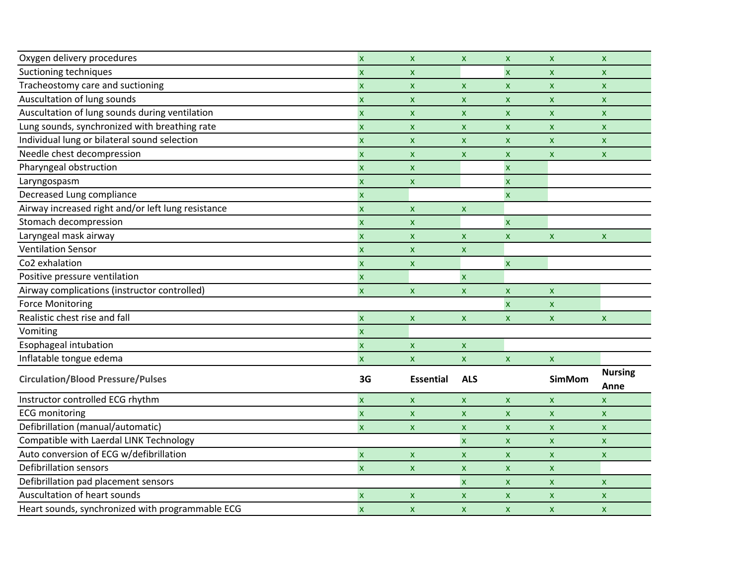| Oxygen delivery procedures                         | $\boldsymbol{\mathsf{x}}$ | $\mathsf{x}$              | $\mathsf{X}$              | X                         | $\mathsf{x}$       | $\mathsf{X}$              |
|----------------------------------------------------|---------------------------|---------------------------|---------------------------|---------------------------|--------------------|---------------------------|
| Suctioning techniques                              | X                         | X                         |                           | $\boldsymbol{\mathsf{x}}$ | $\mathsf{x}$       | $\mathsf{x}$              |
| Tracheostomy care and suctioning                   | $\boldsymbol{\mathsf{x}}$ | X                         | $\pmb{\times}$            | $\mathsf{x}$              | $\mathsf{x}$       | $\mathsf{x}$              |
| Auscultation of lung sounds                        | $\boldsymbol{\mathsf{x}}$ | $\boldsymbol{\mathsf{x}}$ | $\pmb{\times}$            | $\mathsf{x}$              | X                  | $\mathsf{x}$              |
| Auscultation of lung sounds during ventilation     | $\boldsymbol{\mathsf{X}}$ | $\boldsymbol{\mathsf{x}}$ | $\boldsymbol{\mathsf{x}}$ | X                         | $\mathsf{x}$       | $\mathsf{x}$              |
| Lung sounds, synchronized with breathing rate      | $\boldsymbol{\mathsf{x}}$ | $\boldsymbol{\mathsf{x}}$ | $\mathsf{x}$              | $\mathsf{x}$              | X                  | $\mathsf{X}$              |
| Individual lung or bilateral sound selection       | $\boldsymbol{\mathsf{x}}$ | $\boldsymbol{\mathsf{x}}$ | $\pmb{\times}$            | $\mathsf{x}$              | $\mathsf{x}$       | $\mathsf{x}$              |
| Needle chest decompression                         | $\boldsymbol{\mathsf{x}}$ | $\boldsymbol{\mathsf{x}}$ | $\boldsymbol{\mathsf{x}}$ | $\mathsf{x}$              | $\mathsf{x}$       | $\mathsf{x}$              |
| Pharyngeal obstruction                             | $\boldsymbol{\mathsf{x}}$ | $\boldsymbol{\mathsf{x}}$ |                           | $\pmb{\mathsf{x}}$        |                    |                           |
| Laryngospasm                                       | $\boldsymbol{\mathsf{x}}$ | $\boldsymbol{\mathsf{x}}$ |                           | $\overline{\mathbf{x}}$   |                    |                           |
| Decreased Lung compliance                          | $\boldsymbol{\mathsf{x}}$ |                           |                           | $\pmb{\mathsf{x}}$        |                    |                           |
| Airway increased right and/or left lung resistance | $\boldsymbol{\mathsf{x}}$ | $\boldsymbol{\mathsf{x}}$ | $\boldsymbol{\mathsf{x}}$ |                           |                    |                           |
| Stomach decompression                              | $\boldsymbol{\mathsf{x}}$ | $\boldsymbol{\mathsf{x}}$ |                           | $\pmb{\mathsf{x}}$        |                    |                           |
| Laryngeal mask airway                              | $\boldsymbol{\mathsf{x}}$ | X                         | $\mathsf{x}$              | X                         | $\mathsf{x}$       | $\mathsf{x}$              |
| <b>Ventilation Sensor</b>                          | $\boldsymbol{\mathsf{x}}$ | X                         | $\pmb{\times}$            |                           |                    |                           |
| Co <sub>2</sub> exhalation                         | $\boldsymbol{\mathsf{X}}$ | $\boldsymbol{\mathsf{x}}$ |                           | X                         |                    |                           |
| Positive pressure ventilation                      | $\boldsymbol{\mathsf{x}}$ |                           | $\mathsf{x}$              |                           |                    |                           |
| Airway complications (instructor controlled)       | $\boldsymbol{\mathsf{x}}$ | $\mathsf{x}$              | $\mathsf{x}$              | $\pmb{\mathsf{x}}$        | $\pmb{\mathsf{X}}$ |                           |
| <b>Force Monitoring</b>                            |                           |                           |                           | $\boldsymbol{\mathsf{x}}$ | $\mathbf x$        |                           |
| Realistic chest rise and fall                      | $\pmb{\mathsf{x}}$        | $\boldsymbol{\mathsf{x}}$ | $\mathsf{x}$              | $\mathsf{x}$              | $\mathsf{x}$       | $\mathsf{x}$              |
| Vomiting                                           | $\overline{\mathsf{x}}$   |                           |                           |                           |                    |                           |
| Esophageal intubation                              | $\boldsymbol{\mathsf{x}}$ | $\pmb{\mathsf{X}}$        | $\pmb{\mathsf{x}}$        |                           |                    |                           |
| Inflatable tongue edema                            | $\boldsymbol{\mathsf{x}}$ | $\mathsf{x}$              | $\mathsf{X}$              | $\mathsf{x}$              | $\pmb{\mathsf{X}}$ |                           |
| <b>Circulation/Blood Pressure/Pulses</b>           | 3G                        | <b>Essential</b>          | <b>ALS</b>                |                           | <b>SimMom</b>      | <b>Nursing</b><br>Anne    |
| Instructor controlled ECG rhythm                   | $\overline{\mathsf{x}}$   | $\mathsf{x}$              | $\mathsf{X}$              | $\mathsf{x}$              | $\mathsf{x}$       | $\mathsf{X}$              |
| <b>ECG</b> monitoring                              | $\pmb{\mathsf{X}}$        | $\boldsymbol{\mathsf{x}}$ | $\mathsf{X}$              | $\mathsf{x}$              | $\pmb{\mathsf{X}}$ | $\mathsf{x}$              |
| Defibrillation (manual/automatic)                  | $\boldsymbol{\mathsf{x}}$ | $\boldsymbol{\mathsf{x}}$ | $\pmb{\mathsf{x}}$        | $\mathsf{x}$              | X                  | $\mathsf{x}$              |
| Compatible with Laerdal LINK Technology            |                           |                           | $\mathsf{x}$              | $\mathsf{x}$              | $\mathsf{x}$       | $\mathsf{x}$              |
| Auto conversion of ECG w/defibrillation            | $\overline{\mathsf{x}}$   | $\overline{\mathsf{x}}$   | $\boldsymbol{\mathsf{x}}$ | $\boldsymbol{\mathsf{x}}$ | $\mathbf x$        | $\boldsymbol{\mathsf{x}}$ |
| <b>Defibrillation sensors</b>                      | $\pmb{\mathsf{x}}$        | $\boldsymbol{\mathsf{x}}$ | $\pmb{\times}$            | $\mathsf{x}$              | $\mathsf{x}$       |                           |
| Defibrillation pad placement sensors               |                           |                           | $\pmb{\mathsf{x}}$        | X                         | X                  | X                         |
| Auscultation of heart sounds                       | $\boldsymbol{\mathsf{x}}$ | X                         | $\pmb{\times}$            | $\mathsf{x}$              | $\mathsf{x}$       | $\pmb{\times}$            |
| Heart sounds, synchronized with programmable ECG   | $\mathsf{x}$              | $\boldsymbol{\mathsf{x}}$ | $\mathsf{x}$              | $\mathsf{x}$              | $\mathsf{x}$       | $\mathsf{x}$              |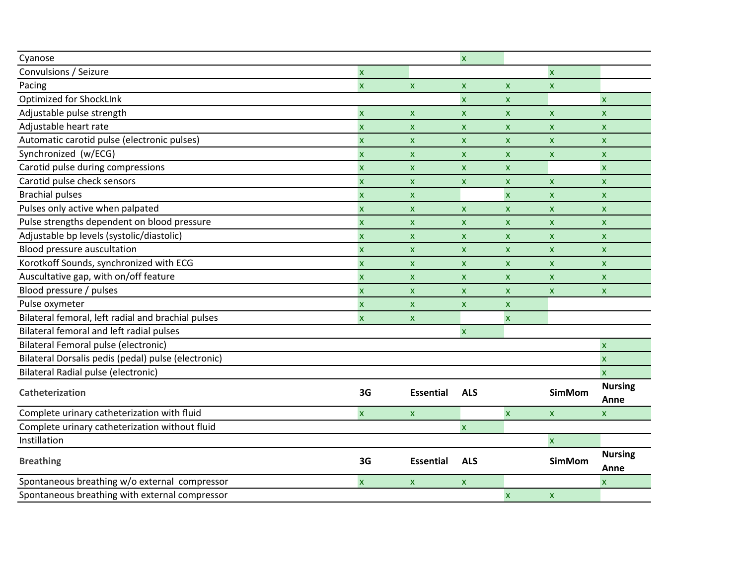| Cyanose                                             |                           |                           | $\pmb{\times}$            |                    |                           |                           |
|-----------------------------------------------------|---------------------------|---------------------------|---------------------------|--------------------|---------------------------|---------------------------|
| Convulsions / Seizure                               | $\overline{\mathbf{x}}$   |                           |                           |                    | $\overline{\mathsf{x}}$   |                           |
| Pacing                                              | $\boldsymbol{\mathsf{x}}$ | $\mathsf{x}$              | $\boldsymbol{\mathsf{x}}$ | $\mathsf{x}$       | $\mathsf{x}$              |                           |
| Optimized for ShockLInk                             |                           |                           | $\pmb{\mathsf{x}}$        | $\mathsf{x}$       |                           | $\pmb{\mathsf{x}}$        |
| Adjustable pulse strength                           | $\boldsymbol{\mathsf{X}}$ | $\boldsymbol{\mathsf{x}}$ | $\mathsf{x}$              | X.                 | $\mathsf{x}$              | $\mathsf{x}$              |
| Adjustable heart rate                               | $\pmb{\mathsf{X}}$        | $\boldsymbol{\mathsf{x}}$ | X                         | X.                 | X                         | $\boldsymbol{\mathsf{x}}$ |
| Automatic carotid pulse (electronic pulses)         | $\mathsf{x}$              | $\mathsf{x}$              | $\mathsf{x}$              | $\mathsf{x}$       | <b>X</b>                  | $\mathsf{x}$              |
| Synchronized (w/ECG)                                | $\mathsf{x}$              | X                         | X                         | X.                 | X                         | $\mathsf{x}$              |
| Carotid pulse during compressions                   | $\boldsymbol{\mathsf{X}}$ | $\boldsymbol{\mathsf{x}}$ | X                         | $\mathsf{x}$       |                           | $\pmb{\times}$            |
| Carotid pulse check sensors                         | $\boldsymbol{\mathsf{x}}$ | X                         | X                         | X                  | $\mathsf{x}$              | $\mathsf{x}$              |
| <b>Brachial pulses</b>                              | $\boldsymbol{\mathsf{x}}$ | X                         |                           | $\pmb{\mathsf{X}}$ | $\mathsf{x}$              | $\pmb{\mathsf{X}}$        |
| Pulses only active when palpated                    | $\boldsymbol{\mathsf{X}}$ | $\pmb{\mathsf{x}}$        | X                         | <b>X</b>           | $\mathsf{x}$              | $\mathsf{X}$              |
| Pulse strengths dependent on blood pressure         | $\pmb{\mathsf{X}}$        | $\boldsymbol{\mathsf{x}}$ | $\pmb{\times}$            | $\mathsf{x}$       | $\mathsf X$               | $\mathsf{x}$              |
| Adjustable bp levels (systolic/diastolic)           | $\boldsymbol{\mathsf{X}}$ | $\boldsymbol{\mathsf{x}}$ | X                         | X                  | <b>X</b>                  | $\mathsf{x}$              |
| Blood pressure auscultation                         | $\mathsf{x}$              | $\boldsymbol{\mathsf{x}}$ | X                         | X                  | <b>X</b>                  | $\mathsf{x}$              |
| Korotkoff Sounds, synchronized with ECG             | $\boldsymbol{\mathsf{x}}$ | $\boldsymbol{\mathsf{x}}$ | X                         | <b>X</b>           | X.                        | $\mathsf{x}$              |
| Auscultative gap, with on/off feature               | $\boldsymbol{\mathsf{X}}$ | X                         | X                         | $\mathsf{x}$       | $\mathsf{x}$              | $\boldsymbol{\mathsf{x}}$ |
| Blood pressure / pulses                             | $\boldsymbol{\mathsf{x}}$ | X                         | $\boldsymbol{\mathsf{x}}$ | $\mathsf{x}$       | <b>X</b>                  | $\mathsf{x}$              |
| Pulse oxymeter                                      | $\boldsymbol{\mathsf{x}}$ | $\pmb{\mathsf{x}}$        | X                         | X                  |                           |                           |
| Bilateral femoral, left radial and brachial pulses  | $\pmb{\mathsf{x}}$        | $\pmb{\mathsf{x}}$        |                           | $\pmb{\mathsf{X}}$ |                           |                           |
| Bilateral femoral and left radial pulses            |                           |                           | $\boldsymbol{\mathsf{x}}$ |                    |                           |                           |
| Bilateral Femoral pulse (electronic)                |                           |                           |                           |                    |                           | $\pmb{\times}$            |
| Bilateral Dorsalis pedis (pedal) pulse (electronic) |                           |                           |                           |                    |                           | $\boldsymbol{\mathsf{x}}$ |
| Bilateral Radial pulse (electronic)                 |                           |                           |                           |                    |                           | $\mathsf{x}$              |
| Catheterization                                     | 3G                        | <b>Essential</b>          | <b>ALS</b>                |                    | <b>SimMom</b>             | <b>Nursing</b>            |
|                                                     |                           |                           |                           |                    |                           | Anne                      |
| Complete urinary catheterization with fluid         | $\mathsf{x}$              | <b>X</b>                  |                           | $\mathsf{x}$       | $\mathsf{X}$              | $\mathsf{x}$              |
| Complete urinary catheterization without fluid      |                           |                           | $\boldsymbol{\mathsf{x}}$ |                    |                           |                           |
| Instillation                                        |                           |                           |                           |                    | $\boldsymbol{\mathsf{x}}$ |                           |
| <b>Breathing</b>                                    | 3G                        | <b>Essential</b>          | <b>ALS</b>                |                    | <b>SimMom</b>             | <b>Nursing</b>            |
|                                                     |                           |                           |                           |                    |                           | Anne                      |
| Spontaneous breathing w/o external compressor       | $\boldsymbol{\mathsf{x}}$ | X                         | X                         |                    |                           | $\boldsymbol{\mathsf{x}}$ |
| Spontaneous breathing with external compressor      |                           |                           |                           | $\mathsf{x}$       | $\mathsf{x}$              |                           |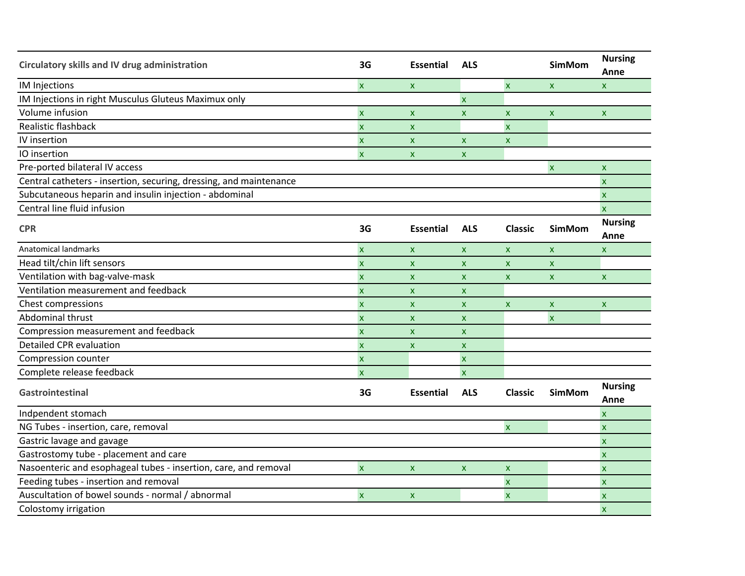| Circulatory skills and IV drug administration                      | 3G                        | <b>Essential</b>          | <b>ALS</b>                |                           | <b>SimMom</b>             | <b>Nursing</b><br>Anne    |
|--------------------------------------------------------------------|---------------------------|---------------------------|---------------------------|---------------------------|---------------------------|---------------------------|
| <b>IM Injections</b>                                               | $\mathsf{x}$              | $\boldsymbol{\mathsf{x}}$ |                           | $\pmb{\times}$            | $\mathsf{x}$              | $\boldsymbol{\mathsf{x}}$ |
| IM Injections in right Musculus Gluteus Maximux only               |                           |                           | $\boldsymbol{\mathsf{x}}$ |                           |                           |                           |
| Volume infusion                                                    | $\overline{\mathsf{x}}$   | $\boldsymbol{\mathsf{x}}$ | $\boldsymbol{\mathsf{x}}$ | $\boldsymbol{\mathsf{x}}$ | $\boldsymbol{\mathsf{x}}$ | X                         |
| Realistic flashback                                                | $\overline{\mathsf{x}}$   | $\boldsymbol{\mathsf{x}}$ |                           | $\overline{\mathsf{x}}$   |                           |                           |
| IV insertion                                                       | $\pmb{\mathsf{X}}$        | $\boldsymbol{\mathsf{x}}$ | $\boldsymbol{\mathsf{x}}$ | x                         |                           |                           |
| IO insertion                                                       | $\overline{\mathbf{x}}$   | $\boldsymbol{\mathsf{x}}$ | $\boldsymbol{\mathsf{x}}$ |                           |                           |                           |
| Pre-ported bilateral IV access                                     |                           |                           |                           |                           | $\overline{\mathsf{x}}$   | $\pmb{\times}$            |
| Central catheters - insertion, securing, dressing, and maintenance |                           |                           |                           |                           |                           | $\overline{\mathsf{x}}$   |
| Subcutaneous heparin and insulin injection - abdominal             |                           |                           |                           |                           |                           | $\boldsymbol{\mathsf{x}}$ |
| Central line fluid infusion                                        |                           |                           |                           |                           |                           | $\overline{\mathsf{x}}$   |
| <b>CPR</b>                                                         | 3G                        | <b>Essential</b>          | <b>ALS</b>                | <b>Classic</b>            | <b>SimMom</b>             | <b>Nursing</b><br>Anne    |
| <b>Anatomical landmarks</b>                                        | $\overline{\mathsf{x}}$   | $\boldsymbol{\mathsf{x}}$ | $\boldsymbol{\mathsf{x}}$ | $\mathsf{x}$              | $\mathsf{x}$              | $\pmb{\times}$            |
| Head tilt/chin lift sensors                                        | $\overline{\mathsf{x}}$   | $\pmb{\mathsf{X}}$        | $\boldsymbol{\mathsf{x}}$ | $\pmb{\mathsf{x}}$        | $\mathsf{x}$              |                           |
| Ventilation with bag-valve-mask                                    | $\overline{\mathsf{x}}$   | $\boldsymbol{\mathsf{x}}$ | $\boldsymbol{\mathsf{x}}$ | $\pmb{\mathsf{x}}$        | $\mathsf{x}$              | $\pmb{\times}$            |
| Ventilation measurement and feedback                               | $\overline{\mathsf{x}}$   | $\boldsymbol{\mathsf{x}}$ | $\boldsymbol{\mathsf{x}}$ |                           |                           |                           |
| <b>Chest compressions</b>                                          | X                         | $\boldsymbol{\mathsf{x}}$ | $\pmb{\times}$            | $\pmb{\mathsf{x}}$        | $\pmb{\mathsf{x}}$        | $\pmb{\times}$            |
| Abdominal thrust                                                   | $\overline{\mathsf{x}}$   | $\boldsymbol{\mathsf{x}}$ | $\boldsymbol{\mathsf{x}}$ |                           | $\overline{\mathsf{x}}$   |                           |
| Compression measurement and feedback                               | $\overline{\mathbf{x}}$   | $\boldsymbol{\mathsf{x}}$ | $\boldsymbol{\mathsf{x}}$ |                           |                           |                           |
| <b>Detailed CPR evaluation</b>                                     | $\mathsf{x}$              | $\boldsymbol{\mathsf{x}}$ | $\boldsymbol{\mathsf{x}}$ |                           |                           |                           |
| Compression counter                                                | $\pmb{\mathsf{X}}$        |                           | $\pmb{\mathsf{x}}$        |                           |                           |                           |
| Complete release feedback                                          | $\overline{\mathsf{x}}$   |                           | $\pmb{\times}$            |                           |                           |                           |
| Gastrointestinal                                                   | 3G                        | <b>Essential</b>          | <b>ALS</b>                | <b>Classic</b>            | <b>SimMom</b>             | <b>Nursing</b><br>Anne    |
| Indpendent stomach                                                 |                           |                           |                           |                           |                           | $\boldsymbol{\mathsf{x}}$ |
| NG Tubes - insertion, care, removal                                |                           |                           |                           | $\boldsymbol{\mathsf{x}}$ |                           | $\mathsf{x}$              |
| Gastric lavage and gavage                                          |                           |                           |                           |                           |                           | $\boldsymbol{\mathsf{x}}$ |
| Gastrostomy tube - placement and care                              |                           |                           |                           |                           |                           | $\overline{\mathsf{x}}$   |
| Nasoenteric and esophageal tubes - insertion, care, and removal    | $\overline{\mathbf{x}}$   | $\boldsymbol{\mathsf{x}}$ | $\boldsymbol{\mathsf{x}}$ | $\pmb{\mathsf{X}}$        |                           | $\boldsymbol{\mathsf{x}}$ |
| Feeding tubes - insertion and removal                              |                           |                           |                           | $\boldsymbol{\mathsf{x}}$ |                           | $\overline{\mathsf{x}}$   |
| Auscultation of bowel sounds - normal / abnormal                   | $\boldsymbol{\mathsf{x}}$ | $\boldsymbol{\mathsf{x}}$ |                           | $\boldsymbol{\mathsf{x}}$ |                           | $\boldsymbol{\mathsf{x}}$ |
| Colostomy irrigation                                               |                           |                           |                           |                           |                           | $\boldsymbol{\mathsf{x}}$ |